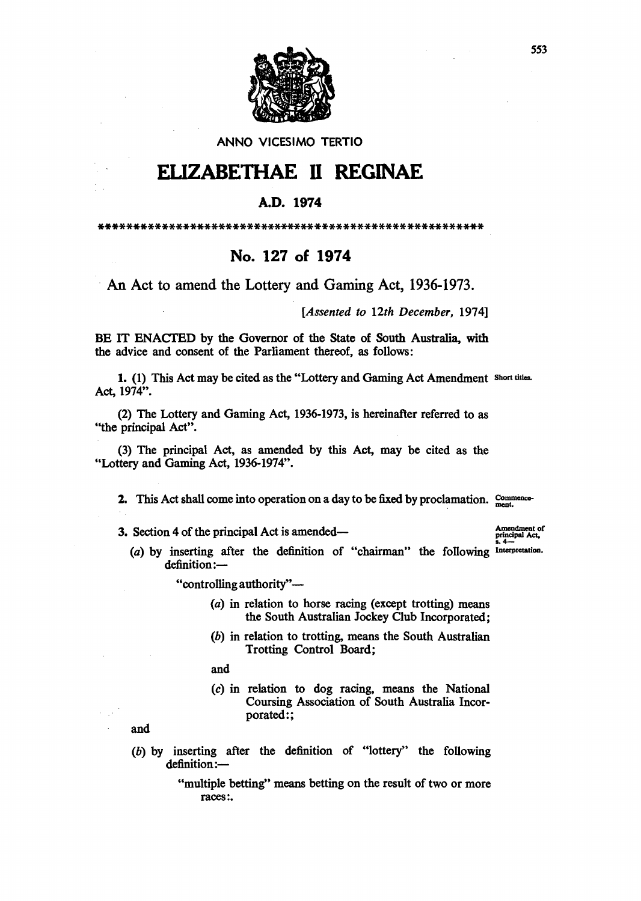

## ANNO VICESIMO TERTIO

## ELIZABETHAE 11 REGINAE

## A.D. 1974

\*\*\*\*\*\*\*\*\*\*\*\*\*\*\*\*\*\*\*\*\*\*\*\*\*\*\*\*\*\*\*\*\*\*\*\*\*\*\*\*\*\*\*\*\*\*\*\*\*\*\*\*\*\*\*

## No. 127 of 1974

An Act to amend the Lottery and Gaming Act, 1936-1973.

*[Assented to 12th December, 1974]* 

BE IT ENACTED by the Governor of the State of South Australia, with the advice and consent of the Parliament thereof, as follows:

1. (1) This Act may be cited as the "Lottery and Gaming Act Amendment Short titles. Act, 1974".

(2) The Lottery and Gaming Act, 1936-1973, is hereinafter referred to as ''the principal Act".

(3) The principal Act, as amended by this Act, may be cited as the "Lottery and Gaming Act, 1936-1974".

2. This Act shall come into operation on a day to be fixed by proclamation. Commence-

3. Section 4 of the principal Act is amended- $\frac{1}{2}$  Amendment of principal Act.

(a) by inserting after the definition of "chairman" the following Interpretation.  $definition:$ 

"controlling authority"-

- (a) in relation to horse racing (except trotting) means the South Australian Jockey Club Incorporated;
- (b) in relation to trotting, means the South Australian Trotting Control Board;

and

(c) in relation to dog racing, means the National Coursing Association of South Australia Incorporated:;

and

- (b) by inserting after the definition of "lottery" the following definition:-
	- "multiple betting" means betting on the result of two or more races:.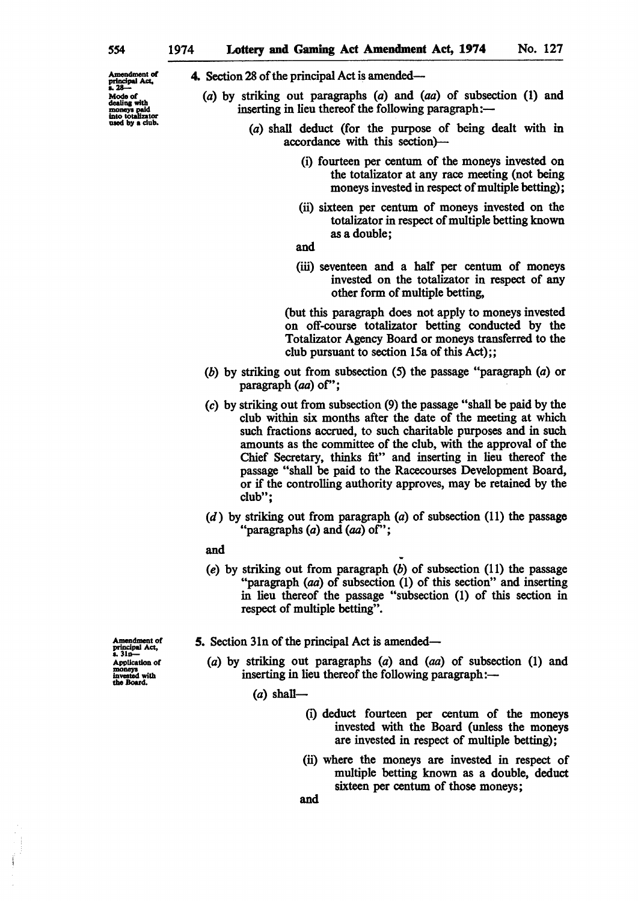Amendment of  $\frac{1}{2}$ Modo of dealing with<br>moneys paid<br>into totalizator<br>used by a club. 4. Section 28 of the principal Act is amended-

- (a) by striking out paragraphs (a) and (aa) of subsection (1) and inserting in lieu thereof the following paragraph:-
	- (a) shall deduct (for the purpose of being dealt with in accordance with this section)-
		- (i) fourteen per centum of the moneys invested on the totalizator at any race meeting (not being moneys invested in respect of multiple betting);
		- (ii) sixteen per centum of moneys invested on the totalizator in respect of multiple betting known as a double;
		- and
		- (iii) seventeen and a half per centum of moneys invested on the totalizator in respect of any other form of multiple betting,

(but this paragraph does not apply to moneys invested on off-course totalizator betting conducted by the Totalizator Agency Board or moneys transferred to the club pursuant to section 15a of this Act);;

- (b) by striking out from subsection (5) the passage "paragraph (a) or paragraph (aa) of";
- (c) by striking out from subsection (9) the passage "shall be paid by the club within six months after the date of the meeting at which such fractions accrued. to such charitable purposes and in such amounts as the committee of the club. with the approval of the Chief Secretary, thinks fit" and inserting in lieu thereof the passage "shall be paid to the Racecourses Development Board, or if the controlling authority approves, may be retained by the club";
- $(d)$  by striking out from paragraph  $(a)$  of subsection (11) the passage "paragraphs (a) and (aa) of";
- and
- (e) by striking out from paragraph  $(b)$  of subsection  $(11)$  the passage "paragraph (aa) of subsection (1) of this section" and inserting in lieu thereof the passage "subsection (1) of this section in respect of multiple betting".

Amendment of<br>principal Act,<br>s. 31n-Application of invested with<br>the Board.

- 5. Section 31n of the principal Act is amended-
	- (a) by striking out paragraphs (a) and (aa) of subsection (1) and inserting in lieu thereof the following paragraph: $-$ 
		- $(a)$  shall-
			- (i) deduct fourteen per centum of the moneys invested with the Board (unless the moneys are invested in respect of multiple betting);
			- (ii) where the moneys are invested in respect of multiple betting known as a double, deduct sixteen per centum of those moneys;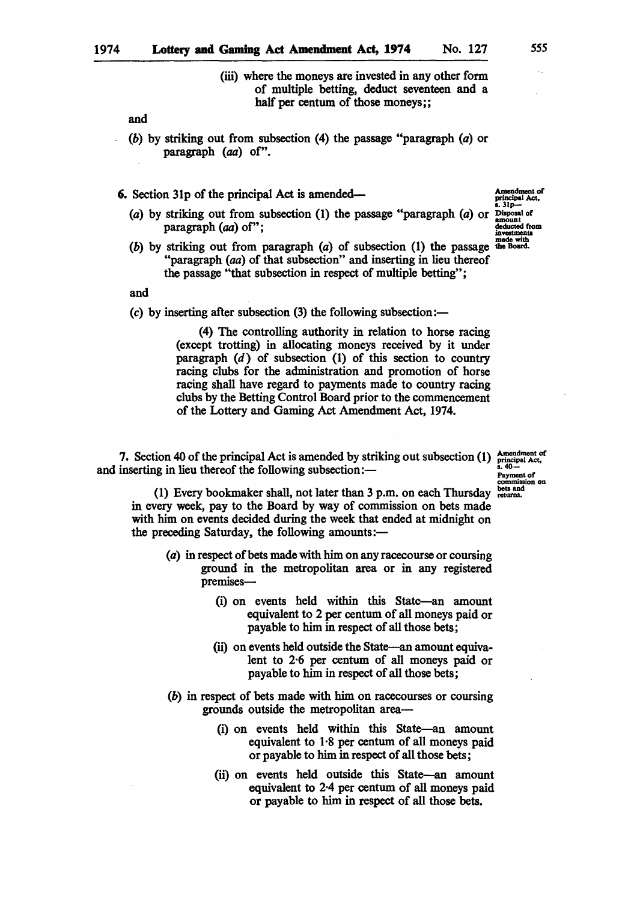(iii) where the moneys are invested in any other form of multiple betting, deduct seventeen and a half per centum of those moneys;;

and

(b) by striking out from subsection (4) the passage "paragraph (a) or paragraph *(aa)* of".

6. Section 31p of the principal Act is amended— $\frac{1}{\text{Area of } \text{Area of } \text{Area of } \text{Area of } \text{Area of } \text{Area of } \text{Area of } \text{Area of } \text{Area of } \text{Area of } \text{Area of } \text{Area of } \text{Area of } \text{Area of } \text{Area of } \text{Area of } \text{Area of } \text{Area of } \text{Area of } \text{Area of } \text{Area of } \text{Area of } \text{Area of } \text{Area of } \text{Area of } \text{Area of } \text{Area of } \text{Area of }$ 

- (a) by striking out from subsection (1) the passage "paragraph (a) or  $\frac{D \text{ is possal of}}{2 \text{ mod } n}$  $\frac{1}{2}$   $\frac{1}{2}$   $\frac{1}{2}$   $\frac{1}{2}$   $\frac{1}{2}$   $\frac{1}{2}$   $\frac{1}{2}$   $\frac{1}{2}$   $\frac{1}{2}$   $\frac{1}{2}$   $\frac{1}{2}$   $\frac{1}{2}$   $\frac{1}{2}$   $\frac{1}{2}$   $\frac{1}{2}$   $\frac{1}{2}$   $\frac{1}{2}$   $\frac{1}{2}$   $\frac{1}{2}$   $\frac{1}{2}$   $\frac{1}{2}$   $\frac{1}{2}$
- (b) by striking out from paragraph  $(a)$  of subsection (1) the passage the Board. "paragraph *(aa)* of that subsection" and inserting in lieu thereof the passage "that subsection in respect of multiple betting";

and

(c) by inserting after subsection  $(3)$  the following subsection:-

(4) The controlling authority in relation to horse racing (except trotting) in allocating moneys received by it under paragraph  $(d)$  of subsection  $(l)$  of this section to country racing clubs for the administration and promotion of horse racing shall have regard to payments made to country racing clubs by the Betting Control Board prior to the commencement of the Lottery and Gaming Act Amendment Act, 1974.

7. Section 40 of the principal Act is amended by striking out subsection (1)  $\frac{\text{Anendment of}}{\text{invariant Act}}$ <br>inserting in lieu thereof the following subsection: and inserting in lieu thereof the following subsection: $\frac{a}{x}$ 

commission on

(1) Every bookmaker shall, not later than  $3$  p.m. on each Thursday  $_{\text{returns.}}^{\text{best and}}$ in every week, pay to the Board by way of commission on bets made with him on events decided during the week that ended at midnight on the preceding Saturday, the following amounts:-

- (a) in respect of bets made with him on any racecourse or coursing ground in the metropolitan area or in any registered premises-
	- (i) on events held within this State-an amount equivalent to 2 per centum of all moneys paid or payable to him in respect of all those bets;
	- (ii) on events held outside the State-an amount equivalent to 2·6 per centum of all moneys paid or payable to him in respect of all those bets;
- (b) in respect of bets made with him on racecourses or coursing grounds outside the metropolitan area-
	- (i) on events held within this State-an amount equivalent to 1·8 per centum of all moneys paid or payable to him in respect of all those bets;
	- (ii) on events held outside this State-an amount equivalent to 2·4 per centum of all moneys paid or payable to him in respect of all those bets.

555

principal Act,<br>s. 31p-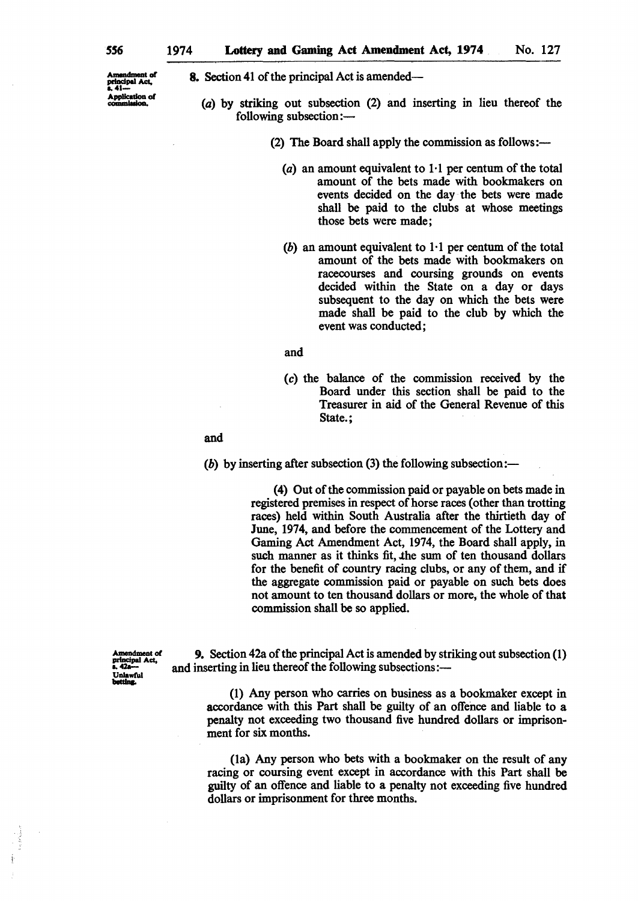Amendment of<br>neigdinal Act principal Act,<br>s. 41---Application of commission,

8. Section 41 of the principal Act is amended-

- (a) by striking out subsection (2) and inserting in lieu thereof the following subsection: $-$ 
	- (2) The Board shall apply the commission as follows:—
		- (a) an amount equivalent to  $1.1$  per centum of the total amount of the bets made with bookmakers on events decided on the day· the bets were made shall be paid to the clubs at whose meetings those bets were made;
		- (b) an amount equivalent to  $1 \cdot 1$  per centum of the total amount of the bets made with bookmakers on racecourses and coursing grounds on events decided within the State on a day or days subsequent to the day on which the bets were made shall be paid to the club by which the event was conducted;

and

(c) the balance of the commISSion received by the Board under this section shall be paid to the Treasurer in aid of the General Revenue of this State.;

and

(b) by inserting after subsection (3) the following subsection:—

(4) Out of the commission paid or payable on bets made in registered premises in respect of horse races (other than trotting races) held within South Australia after the thirtieth day of June, 1974, and before the commencement of the Lottery and Gaming Act Amendment Act, 1974, the Board shall apply, in such manner as it thinks fit, the sum of ten thousand dollars for the benefit of country racing clubs, or any of them, and if the aggregate commission paid or payable on such bets does not amount to ten thousand dollars or more, the whole of that commission shall be so applied.

A.meDdment of principal Act,<br>b. 42a---Unlawful<br>betting.

9. Section 42a of the principal Act is amended by striking out subsection (1) and inserting in lieu thereof the following subsections:---

(l) Any person who carries on business as a bookmaker except in accordance with this Part shall be guilty of an offence and liable to a penalty not exceeding two thousand five hundred dollars or imprisonment for six months.

(la) Any person who bets with a bookmaker on the result of any racing or coursing event except in accordance with this Part shall be guilty of an offence and liable to a penalty not exceeding five hundred dollars or imprisonment for three months.